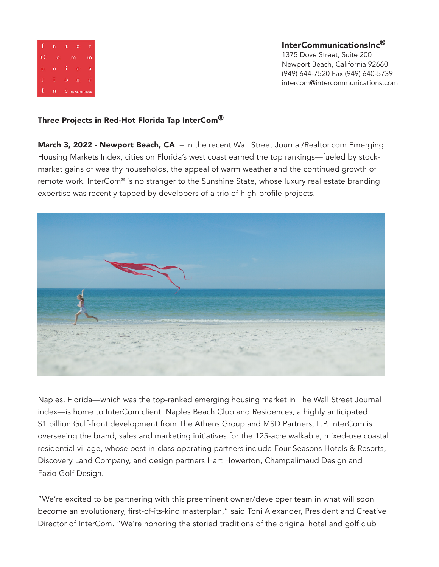

InterCommunicationsInc® 1375 Dove Street, Suite 200 Newport Beach, California 92660 (949) 644-7520 Fax (949) 640-5739 intercom@intercommunications.com

## Three Projects in Red-Hot Florida Tap InterCom<sup>®</sup>

**March 3, 2022 - Newport Beach, CA** – In the recent Wall Street Journal/Realtor.com Emerging Housing Markets Index, cities on Florida's west coast earned the top rankings—fueled by stockmarket gains of wealthy households, the appeal of warm weather and the continued growth of remote work. InterCom® is no stranger to the Sunshine State, whose luxury real estate branding expertise was recently tapped by developers of a trio of high-profile projects.



Naples, Florida—which was the top-ranked emerging housing market in The Wall Street Journal index—is home to InterCom client, Naples Beach Club and Residences, a highly anticipated \$1 billion Gulf-front development from The Athens Group and MSD Partners, L.P. InterCom is overseeing the brand, sales and marketing initiatives for the 125-acre walkable, mixed-use coastal residential village, whose best-in-class operating partners include Four Seasons Hotels & Resorts, Discovery Land Company, and design partners Hart Howerton, Champalimaud Design and Fazio Golf Design.

"We're excited to be partnering with this preeminent owner/developer team in what will soon become an evolutionary, first-of-its-kind masterplan," said Toni Alexander, President and Creative Director of InterCom. "We're honoring the storied traditions of the original hotel and golf club